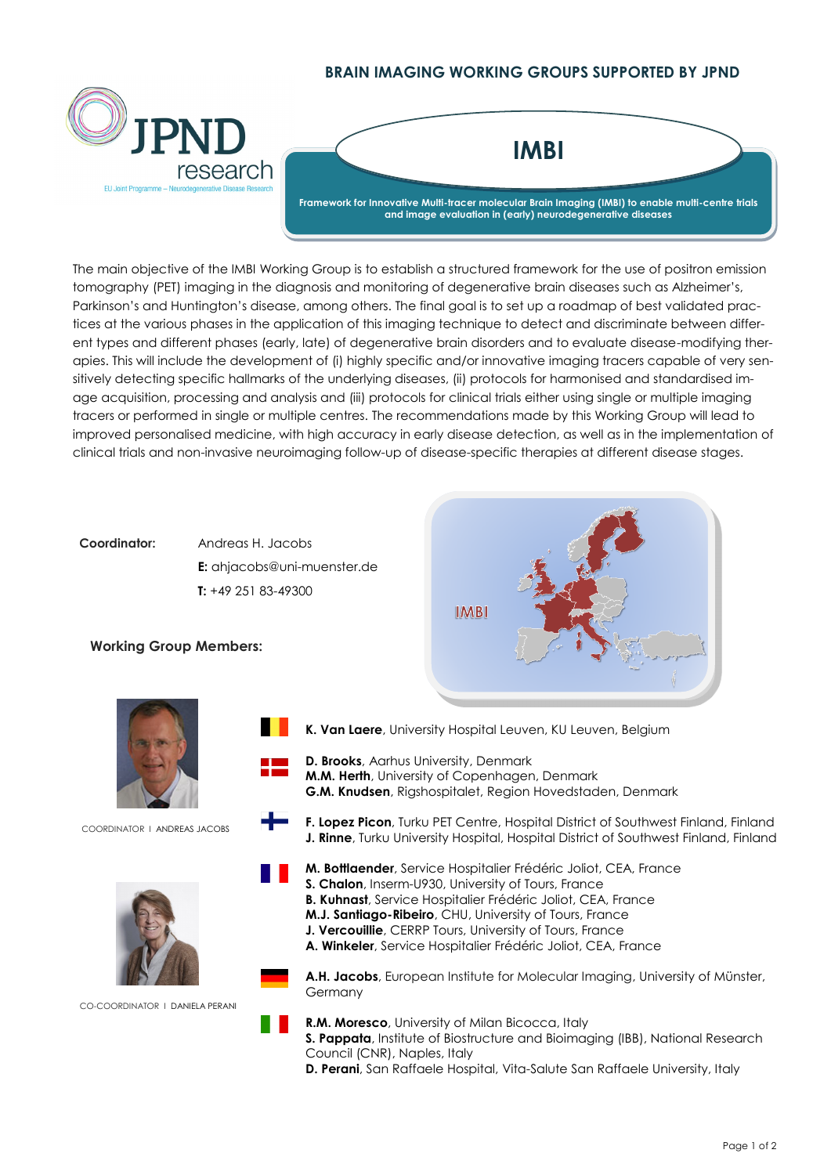## **BRAIN IMAGING WORKING GROUPS SUPPORTED BY JPND**



The main objective of the IMBI Working Group is to establish a structured framework for the use of positron emission tomography (PET) imaging in the diagnosis and monitoring of degenerative brain diseases such as Alzheimer's, Parkinson's and Huntington's disease, among others. The final goal is to set up a roadmap of best validated practices at the various phases in the application of this imaging technique to detect and discriminate between different types and different phases (early, late) of degenerative brain disorders and to evaluate disease-modifying therapies. This will include the development of (i) highly specific and/or innovative imaging tracers capable of very sensitively detecting specific hallmarks of the underlying diseases, (ii) protocols for harmonised and standardised image acquisition, processing and analysis and (iii) protocols for clinical trials either using single or multiple imaging tracers or performed in single or multiple centres. The recommendations made by this Working Group will lead to improved personalised medicine, with high accuracy in early disease detection, as well as in the implementation of clinical trials and non-invasive neuroimaging follow-up of disease-specific therapies at different disease stages.